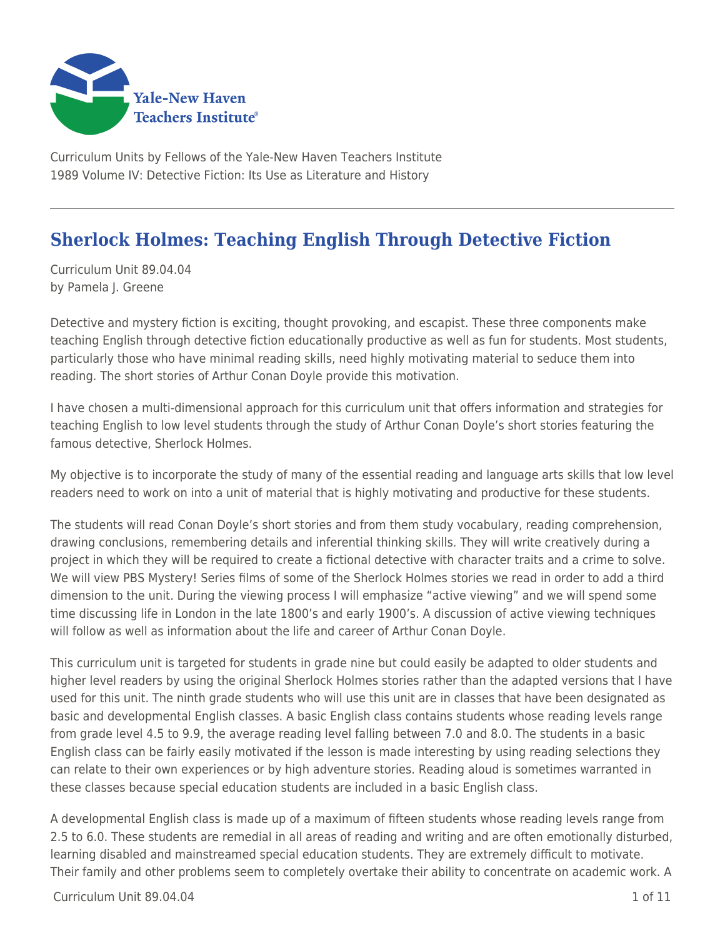

Curriculum Units by Fellows of the Yale-New Haven Teachers Institute 1989 Volume IV: Detective Fiction: Its Use as Literature and History

# **Sherlock Holmes: Teaching English Through Detective Fiction**

Curriculum Unit 89.04.04 by Pamela J. Greene

Detective and mystery fiction is exciting, thought provoking, and escapist. These three components make teaching English through detective fiction educationally productive as well as fun for students. Most students, particularly those who have minimal reading skills, need highly motivating material to seduce them into reading. The short stories of Arthur Conan Doyle provide this motivation.

I have chosen a multi-dimensional approach for this curriculum unit that offers information and strategies for teaching English to low level students through the study of Arthur Conan Doyle's short stories featuring the famous detective, Sherlock Holmes.

My objective is to incorporate the study of many of the essential reading and language arts skills that low level readers need to work on into a unit of material that is highly motivating and productive for these students.

The students will read Conan Doyle's short stories and from them study vocabulary, reading comprehension, drawing conclusions, remembering details and inferential thinking skills. They will write creatively during a project in which they will be required to create a fictional detective with character traits and a crime to solve. We will view PBS Mystery! Series films of some of the Sherlock Holmes stories we read in order to add a third dimension to the unit. During the viewing process I will emphasize "active viewing" and we will spend some time discussing life in London in the late 1800's and early 1900's. A discussion of active viewing techniques will follow as well as information about the life and career of Arthur Conan Doyle.

This curriculum unit is targeted for students in grade nine but could easily be adapted to older students and higher level readers by using the original Sherlock Holmes stories rather than the adapted versions that I have used for this unit. The ninth grade students who will use this unit are in classes that have been designated as basic and developmental English classes. A basic English class contains students whose reading levels range from grade level 4.5 to 9.9, the average reading level falling between 7.0 and 8.0. The students in a basic English class can be fairly easily motivated if the lesson is made interesting by using reading selections they can relate to their own experiences or by high adventure stories. Reading aloud is sometimes warranted in these classes because special education students are included in a basic English class.

A developmental English class is made up of a maximum of fifteen students whose reading levels range from 2.5 to 6.0. These students are remedial in all areas of reading and writing and are often emotionally disturbed, learning disabled and mainstreamed special education students. They are extremely difficult to motivate. Their family and other problems seem to completely overtake their ability to concentrate on academic work. A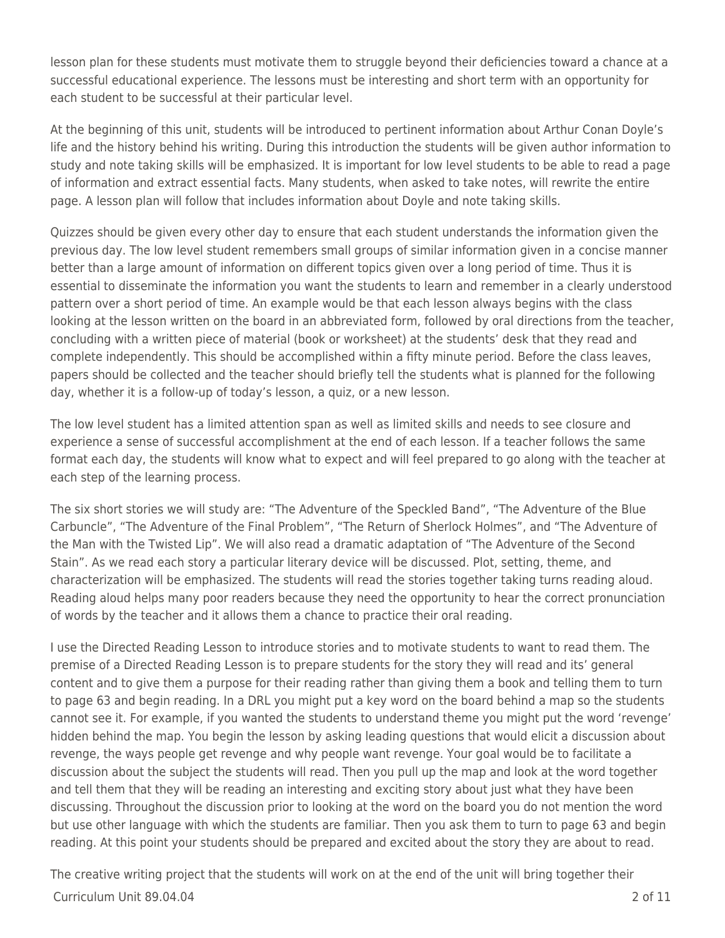lesson plan for these students must motivate them to struggle beyond their deficiencies toward a chance at a successful educational experience. The lessons must be interesting and short term with an opportunity for each student to be successful at their particular level.

At the beginning of this unit, students will be introduced to pertinent information about Arthur Conan Doyle's life and the history behind his writing. During this introduction the students will be given author information to study and note taking skills will be emphasized. It is important for low level students to be able to read a page of information and extract essential facts. Many students, when asked to take notes, will rewrite the entire page. A lesson plan will follow that includes information about Doyle and note taking skills.

Quizzes should be given every other day to ensure that each student understands the information given the previous day. The low level student remembers small groups of similar information given in a concise manner better than a large amount of information on different topics given over a long period of time. Thus it is essential to disseminate the information you want the students to learn and remember in a clearly understood pattern over a short period of time. An example would be that each lesson always begins with the class looking at the lesson written on the board in an abbreviated form, followed by oral directions from the teacher, concluding with a written piece of material (book or worksheet) at the students' desk that they read and complete independently. This should be accomplished within a fifty minute period. Before the class leaves, papers should be collected and the teacher should briefly tell the students what is planned for the following day, whether it is a follow-up of today's lesson, a quiz, or a new lesson.

The low level student has a limited attention span as well as limited skills and needs to see closure and experience a sense of successful accomplishment at the end of each lesson. If a teacher follows the same format each day, the students will know what to expect and will feel prepared to go along with the teacher at each step of the learning process.

The six short stories we will study are: "The Adventure of the Speckled Band", "The Adventure of the Blue Carbuncle", "The Adventure of the Final Problem", "The Return of Sherlock Holmes", and "The Adventure of the Man with the Twisted Lip". We will also read a dramatic adaptation of "The Adventure of the Second Stain". As we read each story a particular literary device will be discussed. Plot, setting, theme, and characterization will be emphasized. The students will read the stories together taking turns reading aloud. Reading aloud helps many poor readers because they need the opportunity to hear the correct pronunciation of words by the teacher and it allows them a chance to practice their oral reading.

I use the Directed Reading Lesson to introduce stories and to motivate students to want to read them. The premise of a Directed Reading Lesson is to prepare students for the story they will read and its' general content and to give them a purpose for their reading rather than giving them a book and telling them to turn to page 63 and begin reading. In a DRL you might put a key word on the board behind a map so the students cannot see it. For example, if you wanted the students to understand theme you might put the word 'revenge' hidden behind the map. You begin the lesson by asking leading questions that would elicit a discussion about revenge, the ways people get revenge and why people want revenge. Your goal would be to facilitate a discussion about the subject the students will read. Then you pull up the map and look at the word together and tell them that they will be reading an interesting and exciting story about just what they have been discussing. Throughout the discussion prior to looking at the word on the board you do not mention the word but use other language with which the students are familiar. Then you ask them to turn to page 63 and begin reading. At this point your students should be prepared and excited about the story they are about to read.

Curriculum Unit 89.04.04 2 of 11 The creative writing project that the students will work on at the end of the unit will bring together their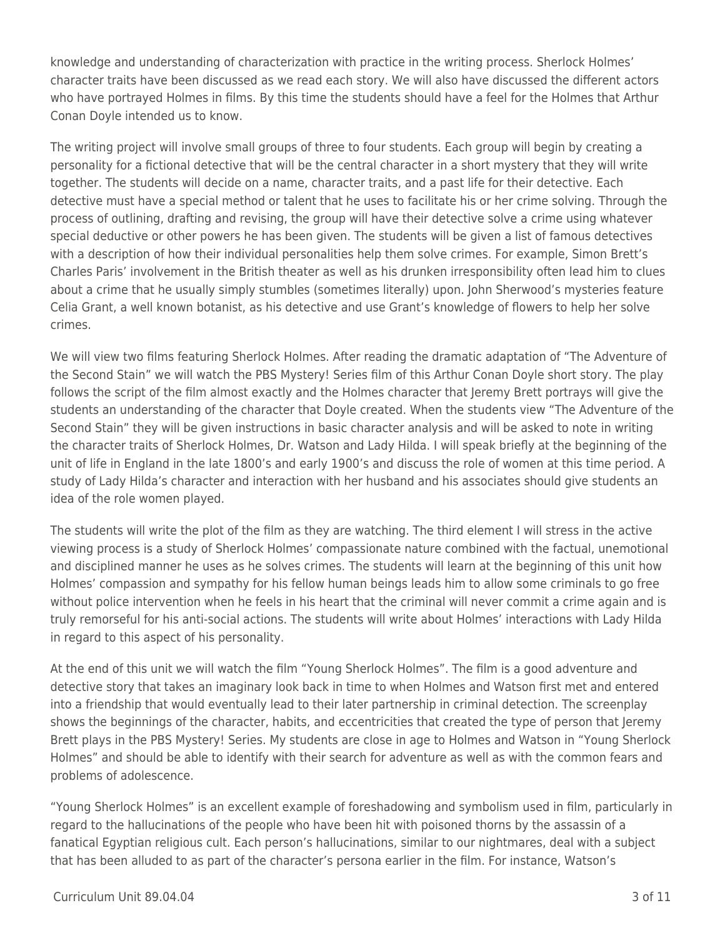knowledge and understanding of characterization with practice in the writing process. Sherlock Holmes' character traits have been discussed as we read each story. We will also have discussed the different actors who have portrayed Holmes in films. By this time the students should have a feel for the Holmes that Arthur Conan Doyle intended us to know.

The writing project will involve small groups of three to four students. Each group will begin by creating a personality for a fictional detective that will be the central character in a short mystery that they will write together. The students will decide on a name, character traits, and a past life for their detective. Each detective must have a special method or talent that he uses to facilitate his or her crime solving. Through the process of outlining, drafting and revising, the group will have their detective solve a crime using whatever special deductive or other powers he has been given. The students will be given a list of famous detectives with a description of how their individual personalities help them solve crimes. For example, Simon Brett's Charles Paris' involvement in the British theater as well as his drunken irresponsibility often lead him to clues about a crime that he usually simply stumbles (sometimes literally) upon. John Sherwood's mysteries feature Celia Grant, a well known botanist, as his detective and use Grant's knowledge of flowers to help her solve crimes.

We will view two films featuring Sherlock Holmes. After reading the dramatic adaptation of "The Adventure of the Second Stain" we will watch the PBS Mystery! Series film of this Arthur Conan Doyle short story. The play follows the script of the film almost exactly and the Holmes character that Jeremy Brett portrays will give the students an understanding of the character that Doyle created. When the students view "The Adventure of the Second Stain" they will be given instructions in basic character analysis and will be asked to note in writing the character traits of Sherlock Holmes, Dr. Watson and Lady Hilda. I will speak briefly at the beginning of the unit of life in England in the late 1800's and early 1900's and discuss the role of women at this time period. A study of Lady Hilda's character and interaction with her husband and his associates should give students an idea of the role women played.

The students will write the plot of the film as they are watching. The third element I will stress in the active viewing process is a study of Sherlock Holmes' compassionate nature combined with the factual, unemotional and disciplined manner he uses as he solves crimes. The students will learn at the beginning of this unit how Holmes' compassion and sympathy for his fellow human beings leads him to allow some criminals to go free without police intervention when he feels in his heart that the criminal will never commit a crime again and is truly remorseful for his anti-social actions. The students will write about Holmes' interactions with Lady Hilda in regard to this aspect of his personality.

At the end of this unit we will watch the film "Young Sherlock Holmes". The film is a good adventure and detective story that takes an imaginary look back in time to when Holmes and Watson first met and entered into a friendship that would eventually lead to their later partnership in criminal detection. The screenplay shows the beginnings of the character, habits, and eccentricities that created the type of person that Jeremy Brett plays in the PBS Mystery! Series. My students are close in age to Holmes and Watson in "Young Sherlock Holmes" and should be able to identify with their search for adventure as well as with the common fears and problems of adolescence.

"Young Sherlock Holmes" is an excellent example of foreshadowing and symbolism used in film, particularly in regard to the hallucinations of the people who have been hit with poisoned thorns by the assassin of a fanatical Egyptian religious cult. Each person's hallucinations, similar to our nightmares, deal with a subject that has been alluded to as part of the character's persona earlier in the film. For instance, Watson's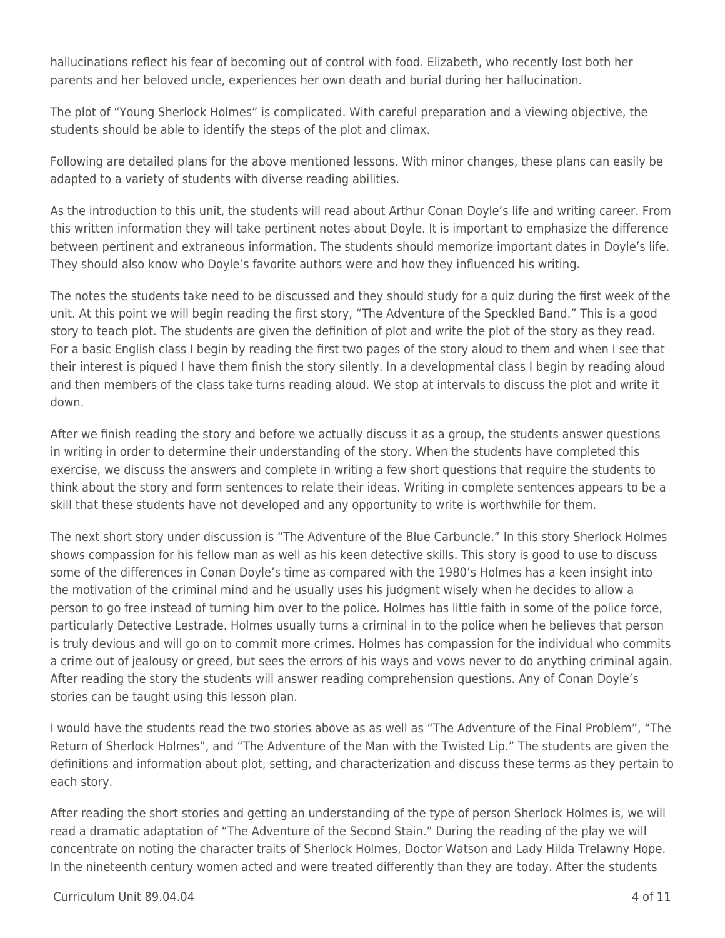hallucinations reflect his fear of becoming out of control with food. Elizabeth, who recently lost both her parents and her beloved uncle, experiences her own death and burial during her hallucination.

The plot of "Young Sherlock Holmes" is complicated. With careful preparation and a viewing objective, the students should be able to identify the steps of the plot and climax.

Following are detailed plans for the above mentioned lessons. With minor changes, these plans can easily be adapted to a variety of students with diverse reading abilities.

As the introduction to this unit, the students will read about Arthur Conan Doyle's life and writing career. From this written information they will take pertinent notes about Doyle. It is important to emphasize the difference between pertinent and extraneous information. The students should memorize important dates in Doyle's life. They should also know who Doyle's favorite authors were and how they influenced his writing.

The notes the students take need to be discussed and they should study for a quiz during the first week of the unit. At this point we will begin reading the first story, "The Adventure of the Speckled Band." This is a good story to teach plot. The students are given the definition of plot and write the plot of the story as they read. For a basic English class I begin by reading the first two pages of the story aloud to them and when I see that their interest is piqued I have them finish the story silently. In a developmental class I begin by reading aloud and then members of the class take turns reading aloud. We stop at intervals to discuss the plot and write it down.

After we finish reading the story and before we actually discuss it as a group, the students answer questions in writing in order to determine their understanding of the story. When the students have completed this exercise, we discuss the answers and complete in writing a few short questions that require the students to think about the story and form sentences to relate their ideas. Writing in complete sentences appears to be a skill that these students have not developed and any opportunity to write is worthwhile for them.

The next short story under discussion is "The Adventure of the Blue Carbuncle." In this story Sherlock Holmes shows compassion for his fellow man as well as his keen detective skills. This story is good to use to discuss some of the differences in Conan Doyle's time as compared with the 1980's Holmes has a keen insight into the motivation of the criminal mind and he usually uses his judgment wisely when he decides to allow a person to go free instead of turning him over to the police. Holmes has little faith in some of the police force, particularly Detective Lestrade. Holmes usually turns a criminal in to the police when he believes that person is truly devious and will go on to commit more crimes. Holmes has compassion for the individual who commits a crime out of jealousy or greed, but sees the errors of his ways and vows never to do anything criminal again. After reading the story the students will answer reading comprehension questions. Any of Conan Doyle's stories can be taught using this lesson plan.

I would have the students read the two stories above as as well as "The Adventure of the Final Problem", "The Return of Sherlock Holmes", and "The Adventure of the Man with the Twisted Lip." The students are given the definitions and information about plot, setting, and characterization and discuss these terms as they pertain to each story.

After reading the short stories and getting an understanding of the type of person Sherlock Holmes is, we will read a dramatic adaptation of "The Adventure of the Second Stain." During the reading of the play we will concentrate on noting the character traits of Sherlock Holmes, Doctor Watson and Lady Hilda Trelawny Hope. In the nineteenth century women acted and were treated differently than they are today. After the students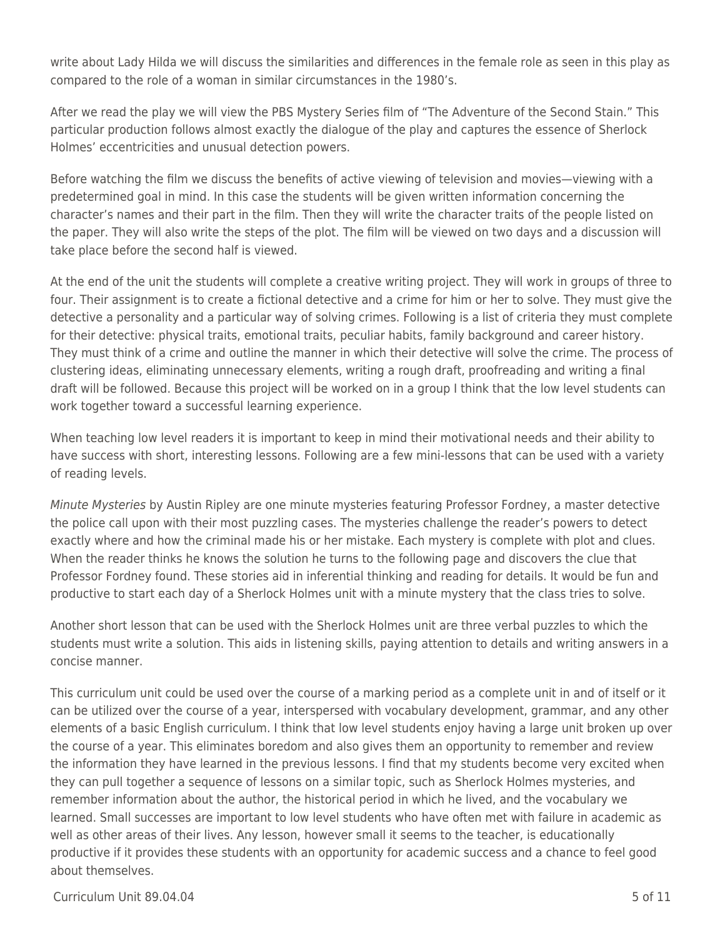write about Lady Hilda we will discuss the similarities and differences in the female role as seen in this play as compared to the role of a woman in similar circumstances in the 1980's.

After we read the play we will view the PBS Mystery Series film of "The Adventure of the Second Stain." This particular production follows almost exactly the dialogue of the play and captures the essence of Sherlock Holmes' eccentricities and unusual detection powers.

Before watching the film we discuss the benefits of active viewing of television and movies—viewing with a predetermined goal in mind. In this case the students will be given written information concerning the character's names and their part in the film. Then they will write the character traits of the people listed on the paper. They will also write the steps of the plot. The film will be viewed on two days and a discussion will take place before the second half is viewed.

At the end of the unit the students will complete a creative writing project. They will work in groups of three to four. Their assignment is to create a fictional detective and a crime for him or her to solve. They must give the detective a personality and a particular way of solving crimes. Following is a list of criteria they must complete for their detective: physical traits, emotional traits, peculiar habits, family background and career history. They must think of a crime and outline the manner in which their detective will solve the crime. The process of clustering ideas, eliminating unnecessary elements, writing a rough draft, proofreading and writing a final draft will be followed. Because this project will be worked on in a group I think that the low level students can work together toward a successful learning experience.

When teaching low level readers it is important to keep in mind their motivational needs and their ability to have success with short, interesting lessons. Following are a few mini-lessons that can be used with a variety of reading levels.

Minute Mysteries by Austin Ripley are one minute mysteries featuring Professor Fordney, a master detective the police call upon with their most puzzling cases. The mysteries challenge the reader's powers to detect exactly where and how the criminal made his or her mistake. Each mystery is complete with plot and clues. When the reader thinks he knows the solution he turns to the following page and discovers the clue that Professor Fordney found. These stories aid in inferential thinking and reading for details. It would be fun and productive to start each day of a Sherlock Holmes unit with a minute mystery that the class tries to solve.

Another short lesson that can be used with the Sherlock Holmes unit are three verbal puzzles to which the students must write a solution. This aids in listening skills, paying attention to details and writing answers in a concise manner.

This curriculum unit could be used over the course of a marking period as a complete unit in and of itself or it can be utilized over the course of a year, interspersed with vocabulary development, grammar, and any other elements of a basic English curriculum. I think that low level students enjoy having a large unit broken up over the course of a year. This eliminates boredom and also gives them an opportunity to remember and review the information they have learned in the previous lessons. I find that my students become very excited when they can pull together a sequence of lessons on a similar topic, such as Sherlock Holmes mysteries, and remember information about the author, the historical period in which he lived, and the vocabulary we learned. Small successes are important to low level students who have often met with failure in academic as well as other areas of their lives. Any lesson, however small it seems to the teacher, is educationally productive if it provides these students with an opportunity for academic success and a chance to feel good about themselves.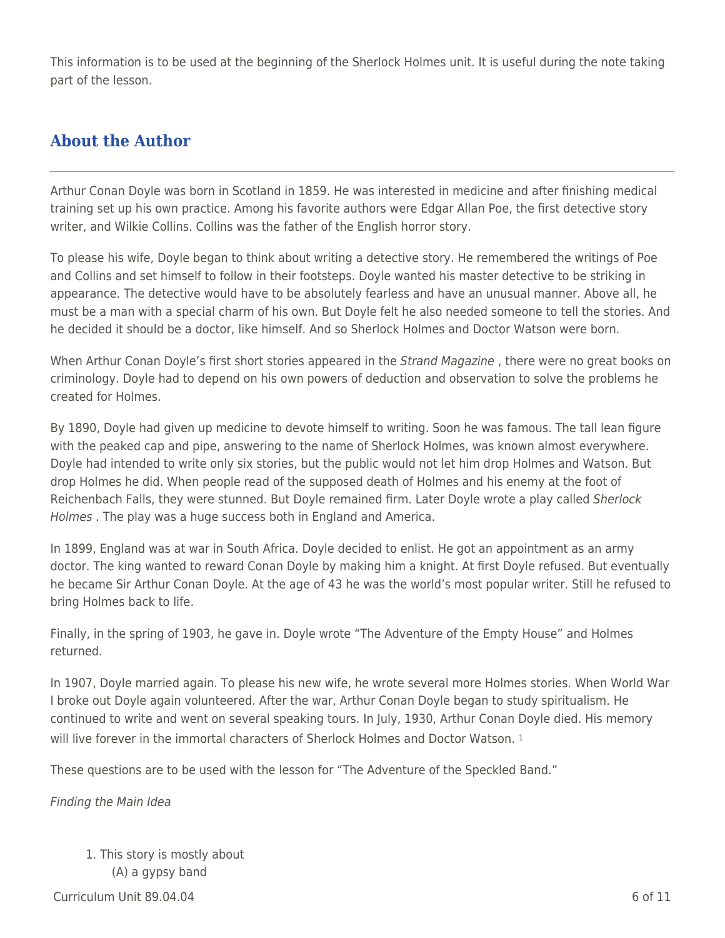This information is to be used at the beginning of the Sherlock Holmes unit. It is useful during the note taking part of the lesson.

### **About the Author**

Arthur Conan Doyle was born in Scotland in 1859. He was interested in medicine and after finishing medical training set up his own practice. Among his favorite authors were Edgar Allan Poe, the first detective story writer, and Wilkie Collins. Collins was the father of the English horror story.

To please his wife, Doyle began to think about writing a detective story. He remembered the writings of Poe and Collins and set himself to follow in their footsteps. Doyle wanted his master detective to be striking in appearance. The detective would have to be absolutely fearless and have an unusual manner. Above all, he must be a man with a special charm of his own. But Doyle felt he also needed someone to tell the stories. And he decided it should be a doctor, like himself. And so Sherlock Holmes and Doctor Watson were born.

When Arthur Conan Doyle's first short stories appeared in the Strand Magazine, there were no great books on criminology. Doyle had to depend on his own powers of deduction and observation to solve the problems he created for Holmes.

By 1890, Doyle had given up medicine to devote himself to writing. Soon he was famous. The tall lean figure with the peaked cap and pipe, answering to the name of Sherlock Holmes, was known almost everywhere. Doyle had intended to write only six stories, but the public would not let him drop Holmes and Watson. But drop Holmes he did. When people read of the supposed death of Holmes and his enemy at the foot of Reichenbach Falls, they were stunned. But Doyle remained firm. Later Doyle wrote a play called Sherlock Holmes . The play was a huge success both in England and America.

In 1899, England was at war in South Africa. Doyle decided to enlist. He got an appointment as an army doctor. The king wanted to reward Conan Doyle by making him a knight. At first Doyle refused. But eventually he became Sir Arthur Conan Doyle. At the age of 43 he was the world's most popular writer. Still he refused to bring Holmes back to life.

Finally, in the spring of 1903, he gave in. Doyle wrote "The Adventure of the Empty House" and Holmes returned.

In 1907, Doyle married again. To please his new wife, he wrote several more Holmes stories. When World War I broke out Doyle again volunteered. After the war, Arthur Conan Doyle began to study spiritualism. He continued to write and went on several speaking tours. In July, 1930, Arthur Conan Doyle died. His memory will live forever in the immortal characters of Sherlock Holmes and Doctor Watson. <sup>1</sup>

These questions are to be used with the lesson for "The Adventure of the Speckled Band."

Finding the Main Idea

1. This story is mostly about \_\_\_\_ (A) a gypsy band

 $C$ urriculum Unit 89.04.04 6 of 11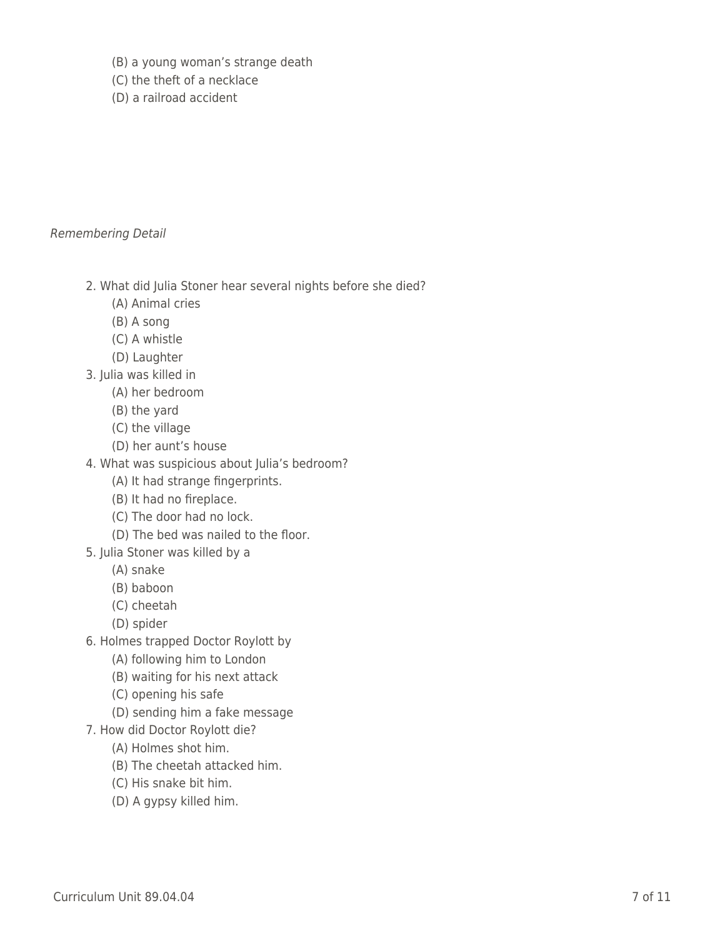- \_\_\_\_ (B) a young woman's strange death
- \_\_\_\_ (C) the theft of a necklace
- \_\_\_\_ (D) a railroad accident

#### Remembering Detail

- 2. What did Julia Stoner hear several nights before she died?
	- \_\_\_\_ (A) Animal cries
	- \_\_\_\_ (B) A song
	- \_\_\_\_ (C) A whistle
	- \_\_\_\_ (D) Laughter
- 3. Julia was killed in
	- \_\_\_\_ (A) her bedroom
	- \_\_\_\_ (B) the yard
	- \_\_\_\_ (C) the village
	- (D) her aunt's house
- 4. What was suspicious about Julia's bedroom?
	- (A) It had strange fingerprints.
	- (B) It had no fireplace.
	- \_\_\_\_ (C) The door had no lock.
	- (D) The bed was nailed to the floor.
- 5. Julia Stoner was killed by a
	- \_\_\_\_ (A) snake
	- \_\_\_\_ (B) baboon
	- \_\_\_\_ (C) cheetah
	- \_\_\_\_ (D) spider
- 6. Holmes trapped Doctor Roylott by
	- (A) following him to London
	- \_\_\_\_ (B) waiting for his next attack
	- \_\_\_\_ (C) opening his safe
	- (D) sending him a fake message
- 7. How did Doctor Roylott die?
	- \_\_\_\_ (A) Holmes shot him.
	- (B) The cheetah attacked him.
	- \_\_\_\_ (C) His snake bit him.
	- (D) A gypsy killed him.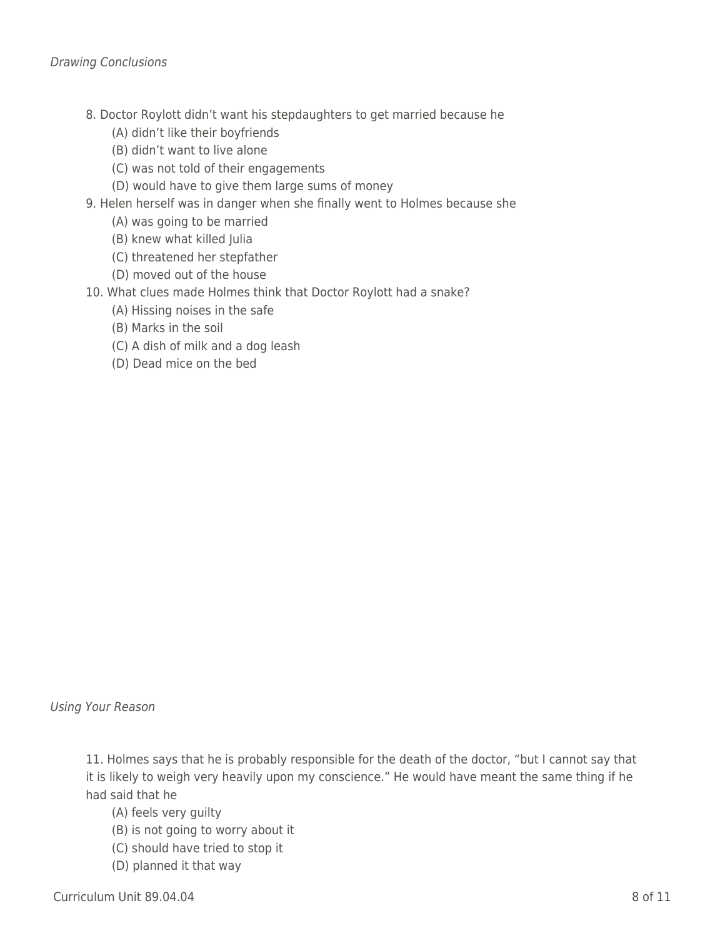- 8. Doctor Roylott didn't want his stepdaughters to get married because he
	- (A) didn't like their boyfriends
	- (B) didn't want to live alone
	- \_\_\_\_ (C) was not told of their engagements
	- (D) would have to give them large sums of money
- 9. Helen herself was in danger when she finally went to Holmes because she
	- (A) was going to be married
	- (B) knew what killed Julia
	- \_\_\_\_ (C) threatened her stepfather
	- (D) moved out of the house
- 10. What clues made Holmes think that Doctor Roylott had a snake?
	- (A) Hissing noises in the safe
	- \_\_\_\_ (B) Marks in the soil
	- \_\_\_\_ (C) A dish of milk and a dog leash
	- \_\_\_\_ (D) Dead mice on the bed

Using Your Reason

11. Holmes says that he is probably responsible for the death of the doctor, "but I cannot say that it is likely to weigh very heavily upon my conscience." He would have meant the same thing if he had said that he

- (A) feels very guilty
- \_\_\_\_ (B) is not going to worry about it
- \_\_\_\_ (C) should have tried to stop it
- (D) planned it that way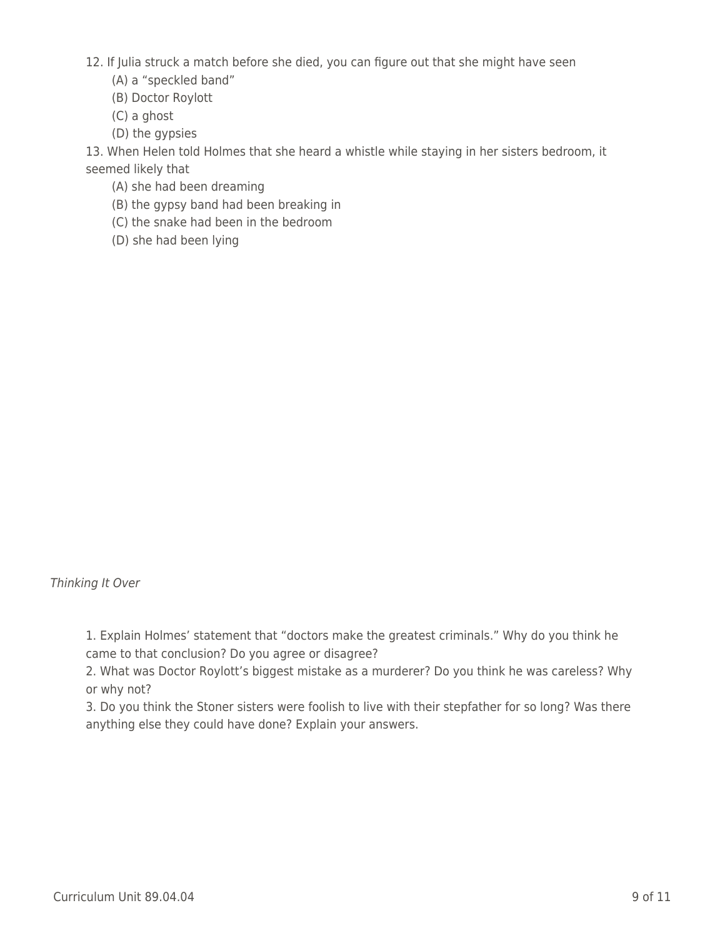- 12. If Julia struck a match before she died, you can figure out that she might have seen
	- (A) a "speckled band"
	- \_\_\_\_ (B) Doctor Roylott
	- \_\_\_\_ (C) a ghost
	- \_\_\_\_ (D) the gypsies

13. When Helen told Holmes that she heard a whistle while staying in her sisters bedroom, it seemed likely that

- (A) she had been dreaming
- \_\_\_\_ (B) the gypsy band had been breaking in
- \_\_\_\_ (C) the snake had been in the bedroom
- \_\_\_\_ (D) she had been lying

Thinking It Over

1. Explain Holmes' statement that "doctors make the greatest criminals." Why do you think he came to that conclusion? Do you agree or disagree?

2. What was Doctor Roylott's biggest mistake as a murderer? Do you think he was careless? Why or why not?

3. Do you think the Stoner sisters were foolish to live with their stepfather for so long? Was there anything else they could have done? Explain your answers.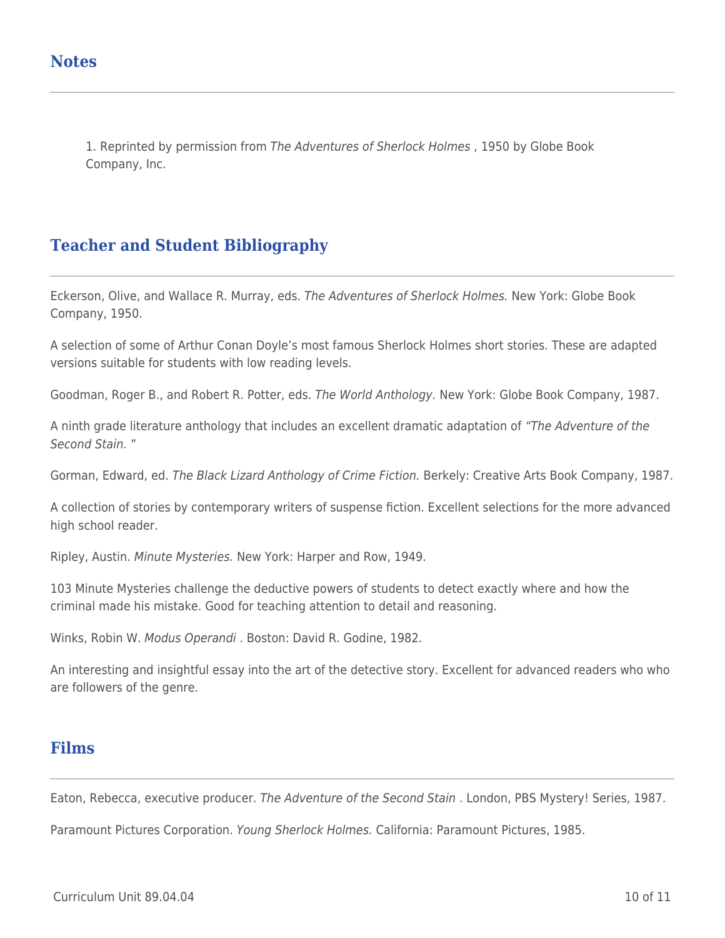1. Reprinted by permission from The Adventures of Sherlock Holmes , 1950 by Globe Book Company, Inc.

## **Teacher and Student Bibliography**

Eckerson, Olive, and Wallace R. Murray, eds. The Adventures of Sherlock Holmes. New York: Globe Book Company, 1950.

A selection of some of Arthur Conan Doyle's most famous Sherlock Holmes short stories. These are adapted versions suitable for students with low reading levels.

Goodman, Roger B., and Robert R. Potter, eds. The World Anthology. New York: Globe Book Company, 1987.

A ninth grade literature anthology that includes an excellent dramatic adaptation of "The Adventure of the Second Stain. "

Gorman, Edward, ed. The Black Lizard Anthology of Crime Fiction. Berkely: Creative Arts Book Company, 1987.

A collection of stories by contemporary writers of suspense fiction. Excellent selections for the more advanced high school reader.

Ripley, Austin. Minute Mysteries. New York: Harper and Row, 1949.

103 Minute Mysteries challenge the deductive powers of students to detect exactly where and how the criminal made his mistake. Good for teaching attention to detail and reasoning.

Winks, Robin W. Modus Operandi . Boston: David R. Godine, 1982.

An interesting and insightful essay into the art of the detective story. Excellent for advanced readers who who are followers of the genre.

### **Films**

Eaton, Rebecca, executive producer. The Adventure of the Second Stain . London, PBS Mystery! Series, 1987.

Paramount Pictures Corporation. Young Sherlock Holmes. California: Paramount Pictures, 1985.